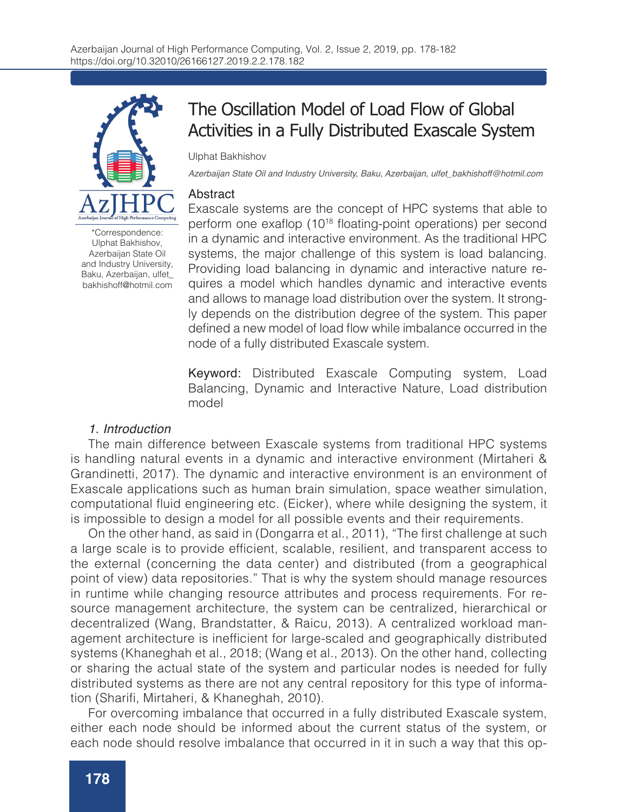

\*Correspondence: Ulphat Bakhishov, Azerbaijan State Oil and Industry University, Baku, Azerbaijan, ulfet\_ bakhishoff@hotmil.com

# The Oscillation Model of Load Flow of Global Activities in a Fully Distributed Exascale System

Ulphat Bakhishov

*Azerbaijan State Oil and Industry University, Baku, Azerbaijan, ulfet\_bakhishoff@hotmil.com*

#### Abstract

Exascale systems are the concept of HPC systems that able to perform one exaflop (1018 floating-point operations) per second in a dynamic and interactive environment. As the traditional HPC systems, the major challenge of this system is load balancing. Providing load balancing in dynamic and interactive nature requires a model which handles dynamic and interactive events and allows to manage load distribution over the system. It strongly depends on the distribution degree of the system. This paper defined a new model of load flow while imbalance occurred in the node of a fully distributed Exascale system.

Keyword: Distributed Exascale Computing system, Load Balancing, Dynamic and Interactive Nature, Load distribution model

## *1. Introduction*

The main difference between Exascale systems from traditional HPC systems is handling natural events in a dynamic and interactive environment (Mirtaheri & Grandinetti, 2017). The dynamic and interactive environment is an environment of Exascale applications such as human brain simulation, space weather simulation, computational fluid engineering etc. (Eicker), where while designing the system, it is impossible to design a model for all possible events and their requirements.

On the other hand, as said in (Dongarra et al., 2011), "The first challenge at such a large scale is to provide efficient, scalable, resilient, and transparent access to the external (concerning the data center) and distributed (from a geographical point of view) data repositories." That is why the system should manage resources in runtime while changing resource attributes and process requirements. For resource management architecture, the system can be centralized, hierarchical or decentralized (Wang, Brandstatter, & Raicu, 2013). A centralized workload management architecture is inefficient for large-scaled and geographically distributed systems (Khaneghah et al., 2018; (Wang et al., 2013). On the other hand, collecting or sharing the actual state of the system and particular nodes is needed for fully distributed systems as there are not any central repository for this type of information (Sharifi, Mirtaheri, & Khaneghah, 2010).

For overcoming imbalance that occurred in a fully distributed Exascale system, either each node should be informed about the current status of the system, or each node should resolve imbalance that occurred in it in such a way that this op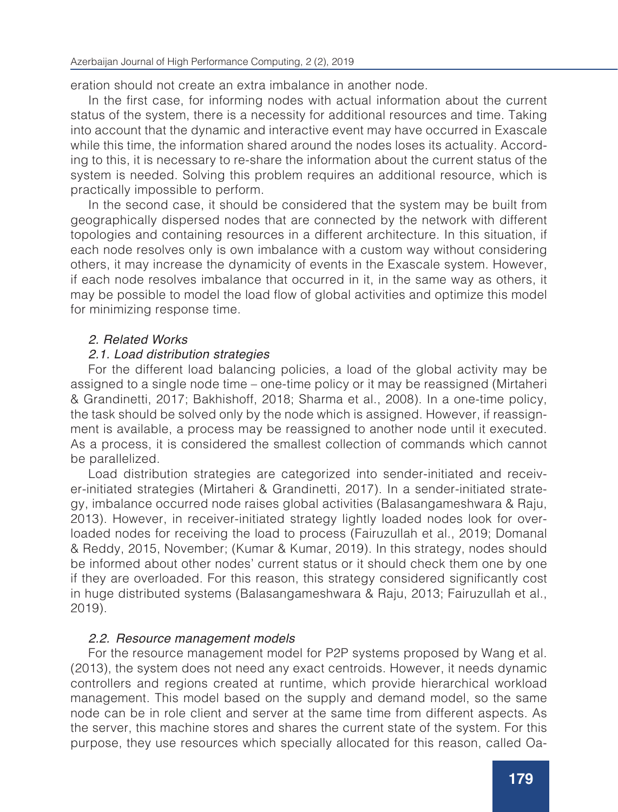eration should not create an extra imbalance in another node.

In the first case, for informing nodes with actual information about the current status of the system, there is a necessity for additional resources and time. Taking into account that the dynamic and interactive event may have occurred in Exascale while this time, the information shared around the nodes loses its actuality. According to this, it is necessary to re-share the information about the current status of the system is needed. Solving this problem requires an additional resource, which is practically impossible to perform.

In the second case, it should be considered that the system may be built from geographically dispersed nodes that are connected by the network with different topologies and containing resources in a different architecture. In this situation, if each node resolves only is own imbalance with a custom way without considering others, it may increase the dynamicity of events in the Exascale system. However, if each node resolves imbalance that occurred in it, in the same way as others, it may be possible to model the load flow of global activities and optimize this model for minimizing response time.

## *2. Related Works*

## *2.1. Load distribution strategies*

For the different load balancing policies, a load of the global activity may be assigned to a single node time – one-time policy or it may be reassigned (Mirtaheri & Grandinetti, 2017; Bakhishoff, 2018; Sharma et al., 2008). In a one-time policy, the task should be solved only by the node which is assigned. However, if reassignment is available, a process may be reassigned to another node until it executed. As a process, it is considered the smallest collection of commands which cannot be parallelized.

Load distribution strategies are categorized into sender-initiated and receiver-initiated strategies (Mirtaheri & Grandinetti, 2017). In a sender-initiated strategy, imbalance occurred node raises global activities (Balasangameshwara & Raju, 2013). However, in receiver-initiated strategy lightly loaded nodes look for overloaded nodes for receiving the load to process (Fairuzullah et al., 2019; Domanal & Reddy, 2015, November; (Kumar & Kumar, 2019). In this strategy, nodes should be informed about other nodes' current status or it should check them one by one if they are overloaded. For this reason, this strategy considered significantly cost in huge distributed systems (Balasangameshwara & Raju, 2013; Fairuzullah et al., 2019).

# *2.2. Resource management models*

For the resource management model for P2P systems proposed by Wang et al. (2013), the system does not need any exact centroids. However, it needs dynamic controllers and regions created at runtime, which provide hierarchical workload management. This model based on the supply and demand model, so the same node can be in role client and server at the same time from different aspects. As the server, this machine stores and shares the current state of the system. For this purpose, they use resources which specially allocated for this reason, called Oa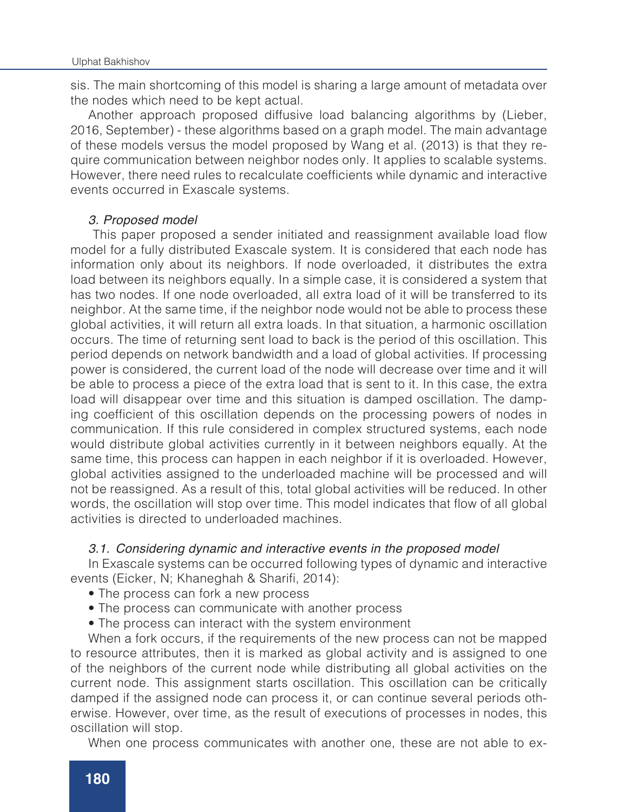sis. The main shortcoming of this model is sharing a large amount of metadata over the nodes which need to be kept actual.

Another approach proposed diffusive load balancing algorithms by (Lieber, 2016, September) - these algorithms based on a graph model. The main advantage of these models versus the model proposed by Wang et al. (2013) is that they require communication between neighbor nodes only. It applies to scalable systems. However, there need rules to recalculate coefficients while dynamic and interactive events occurred in Exascale systems.

## *3. Proposed model*

 This paper proposed a sender initiated and reassignment available load flow model for a fully distributed Exascale system. It is considered that each node has information only about its neighbors. If node overloaded, it distributes the extra load between its neighbors equally. In a simple case, it is considered a system that has two nodes. If one node overloaded, all extra load of it will be transferred to its neighbor. At the same time, if the neighbor node would not be able to process these global activities, it will return all extra loads. In that situation, a harmonic oscillation occurs. The time of returning sent load to back is the period of this oscillation. This period depends on network bandwidth and a load of global activities. If processing power is considered, the current load of the node will decrease over time and it will be able to process a piece of the extra load that is sent to it. In this case, the extra load will disappear over time and this situation is damped oscillation. The damping coefficient of this oscillation depends on the processing powers of nodes in communication. If this rule considered in complex structured systems, each node would distribute global activities currently in it between neighbors equally. At the same time, this process can happen in each neighbor if it is overloaded. However, global activities assigned to the underloaded machine will be processed and will not be reassigned. As a result of this, total global activities will be reduced. In other words, the oscillation will stop over time. This model indicates that flow of all global activities is directed to underloaded machines.

## *3.1. Considering dynamic and interactive events in the proposed model*

In Exascale systems can be occurred following types of dynamic and interactive events (Eicker, N; Khaneghah & Sharifi, 2014):

- The process can fork a new process
- The process can communicate with another process
- The process can interact with the system environment

When a fork occurs, if the requirements of the new process can not be mapped to resource attributes, then it is marked as global activity and is assigned to one of the neighbors of the current node while distributing all global activities on the current node. This assignment starts oscillation. This oscillation can be critically damped if the assigned node can process it, or can continue several periods otherwise. However, over time, as the result of executions of processes in nodes, this oscillation will stop.

When one process communicates with another one, these are not able to ex-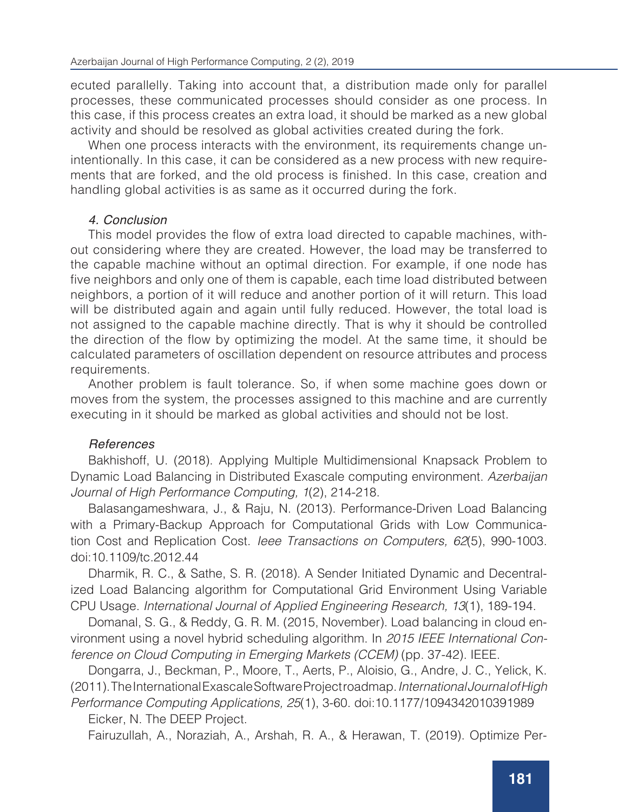ecuted parallelly. Taking into account that, a distribution made only for parallel processes, these communicated processes should consider as one process. In this case, if this process creates an extra load, it should be marked as a new global activity and should be resolved as global activities created during the fork.

When one process interacts with the environment, its requirements change unintentionally. In this case, it can be considered as a new process with new requirements that are forked, and the old process is finished. In this case, creation and handling global activities is as same as it occurred during the fork.

## *4. Conclusion*

This model provides the flow of extra load directed to capable machines, without considering where they are created. However, the load may be transferred to the capable machine without an optimal direction. For example, if one node has five neighbors and only one of them is capable, each time load distributed between neighbors, a portion of it will reduce and another portion of it will return. This load will be distributed again and again until fully reduced. However, the total load is not assigned to the capable machine directly. That is why it should be controlled the direction of the flow by optimizing the model. At the same time, it should be calculated parameters of oscillation dependent on resource attributes and process requirements.

Another problem is fault tolerance. So, if when some machine goes down or moves from the system, the processes assigned to this machine and are currently executing in it should be marked as global activities and should not be lost.

# *References*

Bakhishoff, U. (2018). Applying Multiple Multidimensional Knapsack Problem to Dynamic Load Balancing in Distributed Exascale computing environment. *Azerbaijan Journal of High Performance Computing, 1*(2), 214-218.

Balasangameshwara, J., & Raju, N. (2013). Performance-Driven Load Balancing with a Primary-Backup Approach for Computational Grids with Low Communication Cost and Replication Cost. *Ieee Transactions on Computers, 62*(5), 990-1003. doi:10.1109/tc.2012.44

Dharmik, R. C., & Sathe, S. R. (2018). A Sender Initiated Dynamic and Decentralized Load Balancing algorithm for Computational Grid Environment Using Variable CPU Usage. *International Journal of Applied Engineering Research, 13*(1), 189-194.

Domanal, S. G., & Reddy, G. R. M. (2015, November). Load balancing in cloud environment using a novel hybrid scheduling algorithm. In *2015 IEEE International Conference on Cloud Computing in Emerging Markets (CCEM)* (pp. 37-42). IEEE.

Dongarra, J., Beckman, P., Moore, T., Aerts, P., Aloisio, G., Andre, J. C., Yelick, K. (2011). The International Exascale Software Project roadmap. *International Journal of High* 

*Performance Computing Applications, 25*(1), 3-60. doi:10.1177/1094342010391989 Eicker, N. The DEEP Project.

Fairuzullah, A., Noraziah, A., Arshah, R. A., & Herawan, T. (2019). Optimize Per-